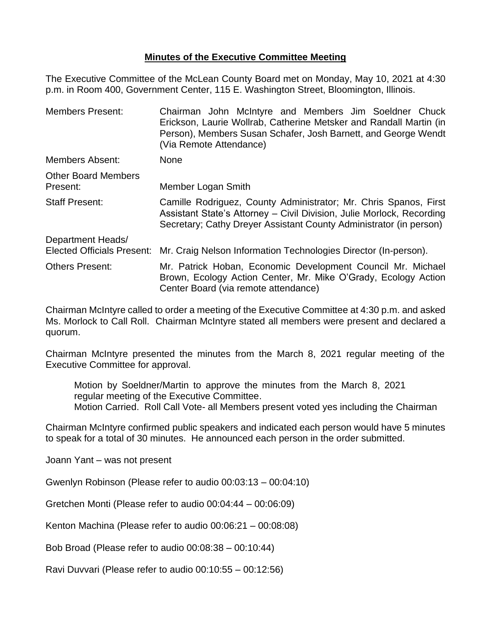## **Minutes of the Executive Committee Meeting**

The Executive Committee of the McLean County Board met on Monday, May 10, 2021 at 4:30 p.m. in Room 400, Government Center, 115 E. Washington Street, Bloomington, Illinois.

| <b>Members Present:</b>                                | Chairman John McIntyre and Members Jim Soeldner Chuck<br>Erickson, Laurie Wollrab, Catherine Metsker and Randall Martin (in<br>Person), Members Susan Schafer, Josh Barnett, and George Wendt<br>(Via Remote Attendance) |  |
|--------------------------------------------------------|--------------------------------------------------------------------------------------------------------------------------------------------------------------------------------------------------------------------------|--|
| <b>Members Absent:</b>                                 | <b>None</b>                                                                                                                                                                                                              |  |
| <b>Other Board Members</b><br>Present:                 | Member Logan Smith                                                                                                                                                                                                       |  |
| <b>Staff Present:</b>                                  | Camille Rodriguez, County Administrator; Mr. Chris Spanos, First<br>Assistant State's Attorney – Civil Division, Julie Morlock, Recording<br>Secretary; Cathy Dreyer Assistant County Administrator (in person)          |  |
| Department Heads/<br><b>Elected Officials Present:</b> | Mr. Craig Nelson Information Technologies Director (In-person).                                                                                                                                                          |  |
| <b>Others Present:</b>                                 | Mr. Patrick Hoban, Economic Development Council Mr. Michael<br>Brown, Ecology Action Center, Mr. Mike O'Grady, Ecology Action<br>Center Board (via remote attendance)                                                    |  |

Chairman McIntyre called to order a meeting of the Executive Committee at 4:30 p.m. and asked Ms. Morlock to Call Roll. Chairman McIntyre stated all members were present and declared a quorum.

Chairman McIntyre presented the minutes from the March 8, 2021 regular meeting of the Executive Committee for approval.

Motion by Soeldner/Martin to approve the minutes from the March 8, 2021 regular meeting of the Executive Committee. Motion Carried. Roll Call Vote- all Members present voted yes including the Chairman

Chairman McIntyre confirmed public speakers and indicated each person would have 5 minutes to speak for a total of 30 minutes. He announced each person in the order submitted.

Joann Yant – was not present

Gwenlyn Robinson (Please refer to audio 00:03:13 – 00:04:10)

Gretchen Monti (Please refer to audio 00:04:44 – 00:06:09)

Kenton Machina (Please refer to audio 00:06:21 – 00:08:08)

Bob Broad (Please refer to audio 00:08:38 – 00:10:44)

Ravi Duvvari (Please refer to audio 00:10:55 – 00:12:56)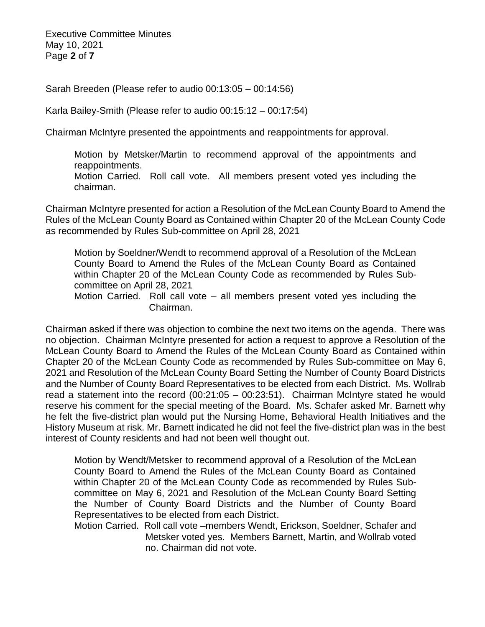Executive Committee Minutes May 10, 2021 Page **2** of **7**

Sarah Breeden (Please refer to audio 00:13:05 – 00:14:56)

Karla Bailey-Smith (Please refer to audio 00:15:12 – 00:17:54)

Chairman McIntyre presented the appointments and reappointments for approval.

Motion by Metsker/Martin to recommend approval of the appointments and reappointments.

Motion Carried. Roll call vote. All members present voted yes including the chairman.

Chairman McIntyre presented for action a Resolution of the McLean County Board to Amend the Rules of the McLean County Board as Contained within Chapter 20 of the McLean County Code as recommended by Rules Sub-committee on April 28, 2021

Motion by Soeldner/Wendt to recommend approval of a Resolution of the McLean County Board to Amend the Rules of the McLean County Board as Contained within Chapter 20 of the McLean County Code as recommended by Rules Subcommittee on April 28, 2021

Motion Carried. Roll call vote – all members present voted yes including the Chairman.

Chairman asked if there was objection to combine the next two items on the agenda. There was no objection. Chairman McIntyre presented for action a request to approve a Resolution of the McLean County Board to Amend the Rules of the McLean County Board as Contained within Chapter 20 of the McLean County Code as recommended by Rules Sub-committee on May 6, 2021 and Resolution of the McLean County Board Setting the Number of County Board Districts and the Number of County Board Representatives to be elected from each District. Ms. Wollrab read a statement into the record (00:21:05 – 00:23:51). Chairman McIntyre stated he would reserve his comment for the special meeting of the Board. Ms. Schafer asked Mr. Barnett why he felt the five-district plan would put the Nursing Home, Behavioral Health Initiatives and the History Museum at risk. Mr. Barnett indicated he did not feel the five-district plan was in the best interest of County residents and had not been well thought out.

Motion by Wendt/Metsker to recommend approval of a Resolution of the McLean County Board to Amend the Rules of the McLean County Board as Contained within Chapter 20 of the McLean County Code as recommended by Rules Subcommittee on May 6, 2021 and Resolution of the McLean County Board Setting the Number of County Board Districts and the Number of County Board Representatives to be elected from each District.

Motion Carried. Roll call vote –members Wendt, Erickson, Soeldner, Schafer and Metsker voted yes. Members Barnett, Martin, and Wollrab voted no. Chairman did not vote.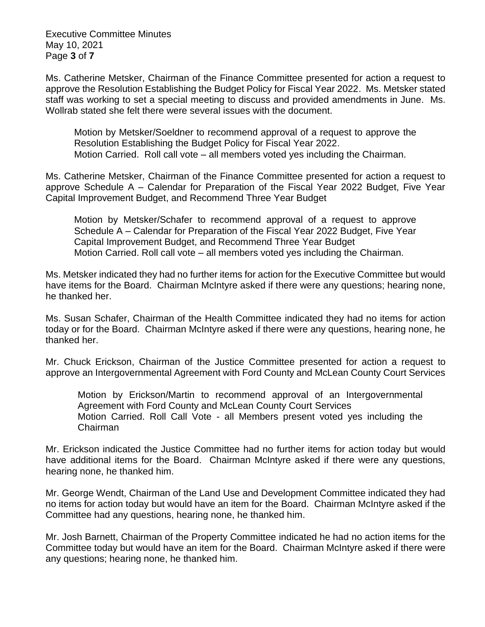Executive Committee Minutes May 10, 2021 Page **3** of **7**

Ms. Catherine Metsker, Chairman of the Finance Committee presented for action a request to approve the Resolution Establishing the Budget Policy for Fiscal Year 2022. Ms. Metsker stated staff was working to set a special meeting to discuss and provided amendments in June. Ms. Wollrab stated she felt there were several issues with the document.

Motion by Metsker/Soeldner to recommend approval of a request to approve the Resolution Establishing the Budget Policy for Fiscal Year 2022. Motion Carried. Roll call vote – all members voted yes including the Chairman.

Ms. Catherine Metsker, Chairman of the Finance Committee presented for action a request to approve Schedule A – Calendar for Preparation of the Fiscal Year 2022 Budget, Five Year Capital Improvement Budget, and Recommend Three Year Budget

Motion by Metsker/Schafer to recommend approval of a request to approve Schedule A – Calendar for Preparation of the Fiscal Year 2022 Budget, Five Year Capital Improvement Budget, and Recommend Three Year Budget Motion Carried. Roll call vote – all members voted yes including the Chairman.

Ms. Metsker indicated they had no further items for action for the Executive Committee but would have items for the Board. Chairman McIntyre asked if there were any questions; hearing none, he thanked her.

Ms. Susan Schafer, Chairman of the Health Committee indicated they had no items for action today or for the Board. Chairman McIntyre asked if there were any questions, hearing none, he thanked her.

Mr. Chuck Erickson, Chairman of the Justice Committee presented for action a request to approve an Intergovernmental Agreement with Ford County and McLean County Court Services

Motion by Erickson/Martin to recommend approval of an Intergovernmental Agreement with Ford County and McLean County Court Services Motion Carried. Roll Call Vote - all Members present voted yes including the Chairman

Mr. Erickson indicated the Justice Committee had no further items for action today but would have additional items for the Board. Chairman McIntyre asked if there were any questions, hearing none, he thanked him.

Mr. George Wendt, Chairman of the Land Use and Development Committee indicated they had no items for action today but would have an item for the Board. Chairman McIntyre asked if the Committee had any questions, hearing none, he thanked him.

Mr. Josh Barnett, Chairman of the Property Committee indicated he had no action items for the Committee today but would have an item for the Board. Chairman McIntyre asked if there were any questions; hearing none, he thanked him.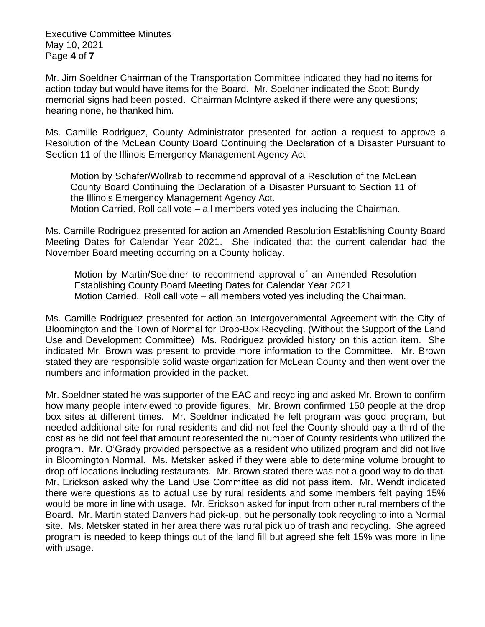Executive Committee Minutes May 10, 2021 Page **4** of **7**

Mr. Jim Soeldner Chairman of the Transportation Committee indicated they had no items for action today but would have items for the Board. Mr. Soeldner indicated the Scott Bundy memorial signs had been posted. Chairman McIntyre asked if there were any questions; hearing none, he thanked him.

Ms. Camille Rodriguez, County Administrator presented for action a request to approve a Resolution of the McLean County Board Continuing the Declaration of a Disaster Pursuant to Section 11 of the Illinois Emergency Management Agency Act

Motion by Schafer/Wollrab to recommend approval of a Resolution of the McLean County Board Continuing the Declaration of a Disaster Pursuant to Section 11 of the Illinois Emergency Management Agency Act. Motion Carried. Roll call vote – all members voted yes including the Chairman.

Ms. Camille Rodriguez presented for action an Amended Resolution Establishing County Board Meeting Dates for Calendar Year 2021. She indicated that the current calendar had the November Board meeting occurring on a County holiday.

Motion by Martin/Soeldner to recommend approval of an Amended Resolution Establishing County Board Meeting Dates for Calendar Year 2021 Motion Carried. Roll call vote – all members voted yes including the Chairman.

Ms. Camille Rodriguez presented for action an Intergovernmental Agreement with the City of Bloomington and the Town of Normal for Drop-Box Recycling. (Without the Support of the Land Use and Development Committee) Ms. Rodriguez provided history on this action item. She indicated Mr. Brown was present to provide more information to the Committee. Mr. Brown stated they are responsible solid waste organization for McLean County and then went over the numbers and information provided in the packet.

Mr. Soeldner stated he was supporter of the EAC and recycling and asked Mr. Brown to confirm how many people interviewed to provide figures. Mr. Brown confirmed 150 people at the drop box sites at different times. Mr. Soeldner indicated he felt program was good program, but needed additional site for rural residents and did not feel the County should pay a third of the cost as he did not feel that amount represented the number of County residents who utilized the program. Mr. O'Grady provided perspective as a resident who utilized program and did not live in Bloomington Normal. Ms. Metsker asked if they were able to determine volume brought to drop off locations including restaurants. Mr. Brown stated there was not a good way to do that. Mr. Erickson asked why the Land Use Committee as did not pass item. Mr. Wendt indicated there were questions as to actual use by rural residents and some members felt paying 15% would be more in line with usage. Mr. Erickson asked for input from other rural members of the Board. Mr. Martin stated Danvers had pick-up, but he personally took recycling to into a Normal site. Ms. Metsker stated in her area there was rural pick up of trash and recycling. She agreed program is needed to keep things out of the land fill but agreed she felt 15% was more in line with usage.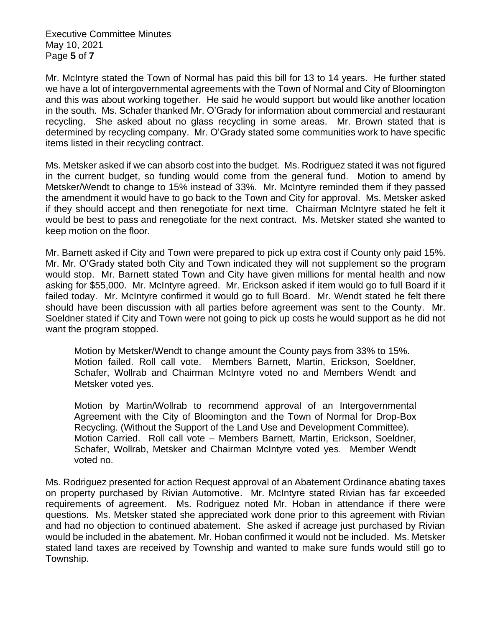Executive Committee Minutes May 10, 2021 Page **5** of **7**

Mr. McIntyre stated the Town of Normal has paid this bill for 13 to 14 years. He further stated we have a lot of intergovernmental agreements with the Town of Normal and City of Bloomington and this was about working together. He said he would support but would like another location in the south. Ms. Schafer thanked Mr. O'Grady for information about commercial and restaurant recycling. She asked about no glass recycling in some areas. Mr. Brown stated that is determined by recycling company. Mr. O'Grady stated some communities work to have specific items listed in their recycling contract.

Ms. Metsker asked if we can absorb cost into the budget. Ms. Rodriguez stated it was not figured in the current budget, so funding would come from the general fund. Motion to amend by Metsker/Wendt to change to 15% instead of 33%. Mr. McIntyre reminded them if they passed the amendment it would have to go back to the Town and City for approval. Ms. Metsker asked if they should accept and then renegotiate for next time. Chairman McIntyre stated he felt it would be best to pass and renegotiate for the next contract. Ms. Metsker stated she wanted to keep motion on the floor.

Mr. Barnett asked if City and Town were prepared to pick up extra cost if County only paid 15%. Mr. Mr. O'Grady stated both City and Town indicated they will not supplement so the program would stop. Mr. Barnett stated Town and City have given millions for mental health and now asking for \$55,000. Mr. McIntyre agreed. Mr. Erickson asked if item would go to full Board if it failed today. Mr. McIntyre confirmed it would go to full Board. Mr. Wendt stated he felt there should have been discussion with all parties before agreement was sent to the County. Mr. Soeldner stated if City and Town were not going to pick up costs he would support as he did not want the program stopped.

Motion by Metsker/Wendt to change amount the County pays from 33% to 15%. Motion failed. Roll call vote. Members Barnett, Martin, Erickson, Soeldner, Schafer, Wollrab and Chairman McIntyre voted no and Members Wendt and Metsker voted yes.

Motion by Martin/Wollrab to recommend approval of an Intergovernmental Agreement with the City of Bloomington and the Town of Normal for Drop-Box Recycling. (Without the Support of the Land Use and Development Committee). Motion Carried. Roll call vote – Members Barnett, Martin, Erickson, Soeldner, Schafer, Wollrab, Metsker and Chairman McIntyre voted yes. Member Wendt voted no.

Ms. Rodriguez presented for action Request approval of an Abatement Ordinance abating taxes on property purchased by Rivian Automotive. Mr. McIntyre stated Rivian has far exceeded requirements of agreement. Ms. Rodriguez noted Mr. Hoban in attendance if there were questions. Ms. Metsker stated she appreciated work done prior to this agreement with Rivian and had no objection to continued abatement. She asked if acreage just purchased by Rivian would be included in the abatement. Mr. Hoban confirmed it would not be included. Ms. Metsker stated land taxes are received by Township and wanted to make sure funds would still go to Township.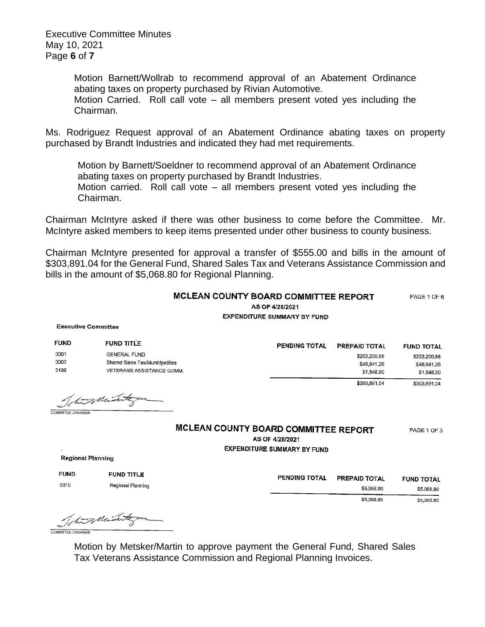Executive Committee Minutes May 10, 2021 Page **6** of **7**

> Motion Barnett/Wollrab to recommend approval of an Abatement Ordinance abating taxes on property purchased by Rivian Automotive. Motion Carried. Roll call vote – all members present voted yes including the Chairman.

Ms. Rodriguez Request approval of an Abatement Ordinance abating taxes on property purchased by Brandt Industries and indicated they had met requirements.

Motion by Barnett/Soeldner to recommend approval of an Abatement Ordinance abating taxes on property purchased by Brandt Industries. Motion carried. Roll call vote – all members present voted yes including the Chairman.

Chairman McIntyre asked if there was other business to come before the Committee. Mr. McIntyre asked members to keep items presented under other business to county business.

Chairman McIntyre presented for approval a transfer of \$555.00 and bills in the amount of \$303,891.04 for the General Fund, Shared Sales Tax and Veterans Assistance Commission and bills in the amount of \$5,068.80 for Regional Planning.

|                           |                                 | <b>MCLEAN COUNTY BOARD COMMITTEE REPORT</b><br>AS OF 4/28/2021<br><b>EXPENDITURE SUMMARY BY FUND</b> | PAGE 1 OF 6       |
|---------------------------|---------------------------------|------------------------------------------------------------------------------------------------------|-------------------|
|                           | <b>Executive Committee</b>      |                                                                                                      |                   |
| <b>FUND</b>               | <b>FUND TITLE</b>               | PENDING TOTAL<br><b>PREPAID TOTAL</b>                                                                | <b>FUND TOTAL</b> |
| 0001                      | <b>GENERAL FUND</b>             | \$253,200.88                                                                                         | \$253,200.88      |
| 0007                      | Shared Sales Tax/Municipalities | \$48,841.26                                                                                          | \$48,841.26       |
| 0136                      | VETERANS ASSISTANCE COMM.       | \$1,848.90                                                                                           | \$1,848.90        |
|                           | Totus Mint                      | \$303,891.04                                                                                         | \$303,891,04      |
| <b>COMMITTEE CHAIRMAN</b> |                                 |                                                                                                      |                   |
|                           |                                 | MCLEAN COUNTY BOARD COMMITTEE REPORT<br>AS OF 4/28/2021                                              | PAGE 1 OF 3       |
| Regional Planning         |                                 | <b>EXPENDITURE SUMMARY BY FUND</b>                                                                   |                   |
| <b>FUND</b>               | <b>FUND TITLE</b>               | <b>DENDRIA TATLL</b><br><b><i><u>Programment Associates</u></i></b>                                  |                   |

0010

PENDING TOTAL PREPAID TOTAL **FUND TOTAL** \$5.068.80 \$5,068,80 \$5,068.80 \$5,068.80

Total Mint COMMITTEE CHAIRMAN

Regional Planning

Motion by Metsker/Martin to approve payment the General Fund, Shared Sales Tax Veterans Assistance Commission and Regional Planning Invoices.